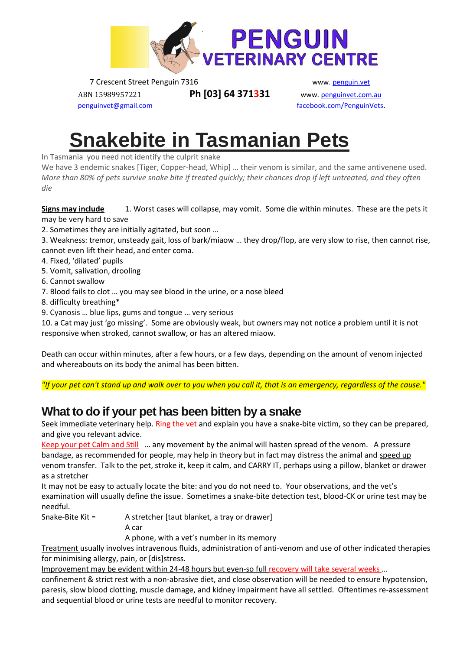

7 Crescent Street Penguin 7316 www. penguin.vet

ABN 15989957221 **Ph [03] 64 371331** www. penguinvet.com.au

penguinvet@gmail.com facebook.com/PenguinVets.

# **[Snakebite in Tasmanian](https://www.wikihow.com/Treat-a-Dog-for-Snakebite-in-Australia) Pets**

In Tasmania you need not identify the culprit snake

We have 3 endemic snakes [Tiger, Copper-head, Whip] ... their venom is similar, and the same antivenene used. *More than 80% of pets survive snake bite if treated quickly; their chances drop if left untreated, and they often die*

**Signs may include** 1. Worst cases will collapse, may vomit. Some die within minutes. These are the pets it may be very hard to save

- 2. Sometimes they are initially agitated, but soon …
- 3. Weakness: tremor, unsteady gait, loss of bark/miaow … they drop/flop, are very slow to rise, then cannot rise, cannot even lift their head, and enter coma.
- 4. Fixed, 'dilated' pupils
- 5. Vomit, salivation, drooling
- 6. Cannot swallow
- 7. Blood fails to clot … you may see blood in the urine, or a nose bleed
- 8. difficulty breathing\*
- 9. Cyanosis … blue lips, gums and tongue … very serious

10. a Cat may just 'go missing'. Some are obviously weak, but owners may not notice a problem until it is not responsive when stroked, cannot swallow, or has an altered miaow.

Death can occur within minutes, after a few hours, or a few days, depending on the amount of venom injected and whereabouts on its body the animal has been bitten.

*"If your pet can't stand up and walk over to you when you call it, that is an emergency, regardless of the cause."*

## **What to do if your pet has been bitten by a snake**

Seek immediate veterinary help. Ring the vet and explain you have a snake-bite victim, so they can be prepared, and give you relevant advice.

Keep your pet Calm and Still … any movement by the animal will hasten spread of the venom. A pressure bandage, as recommended for people, may help in theory but in fact may distress the animal and speed up venom transfer. Talk to the pet, stroke it, keep it calm, and CARRY IT, perhaps using a pillow, blanket or drawer as a stretcher

It may not be easy to actually locate the bite: and you do not need to. Your observations, and the vet's examination will usually define the issue. Sometimes a snake-bite detection test, blood-CK or urine test may be needful.

Snake-Bite Kit = A stretcher [taut blanket, a tray or drawer]

A car

A phone, with a vet's number in its memory

Treatment usually involves intravenous fluids, administration of anti-venom and use of other indicated therapies for minimising allergy, pain, or [dis]stress.

Improvement may be evident within 24-48 hours but even-so full recovery will take several weeks …

confinement & strict rest with a non-abrasive diet, and close observation will be needed to ensure hypotension, paresis, slow blood clotting, muscle damage, and kidney impairment have all settled. Oftentimes re-assessment and sequential blood or urine tests are needful to monitor recovery.